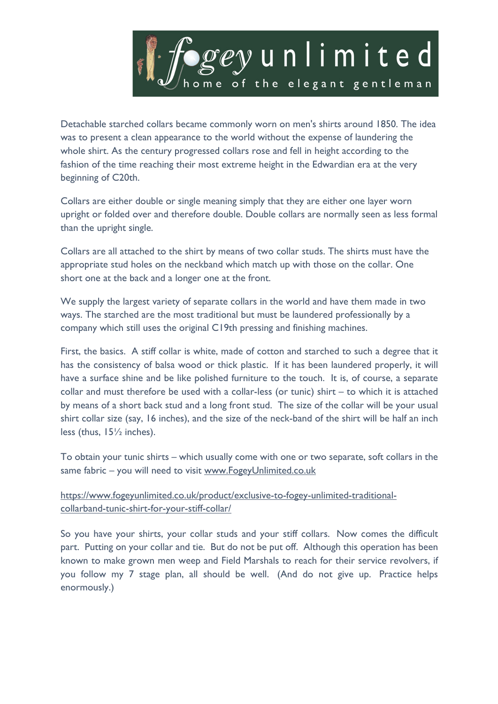

Detachable starched collars became commonly worn on men's shirts around 1850. The idea was to present a clean appearance to the world without the expense of laundering the whole shirt. As the century progressed collars rose and fell in height according to the fashion of the time reaching their most extreme height in the Edwardian era at the very beginning of C20th.

Collars are either double or single meaning simply that they are either one layer worn upright or folded over and therefore double. Double collars are normally seen as less formal than the upright single.

Collars are all attached to the shirt by means of two collar studs. The shirts must have the appropriate stud holes on the neckband which match up with those on the collar. One short one at the back and a longer one at the front.

We supply the largest variety of separate collars in the world and have them made in two ways. The starched are the most traditional but must be laundered professionally by a company which still uses the original C19th pressing and finishing machines.

First, the basics. A stiff collar is white, made of cotton and starched to such a degree that it has the consistency of balsa wood or thick plastic. If it has been laundered properly, it will have a surface shine and be like polished furniture to the touch. It is, of course, a separate collar and must therefore be used with a collar-less (or tunic) shirt – to which it is attached by means of a short back stud and a long front stud. The size of the collar will be your usual shirt collar size (say, 16 inches), and the size of the neck-band of the shirt will be half an inch less (thus, 15½ inches).

To obtain your tunic shirts – which usually come with one or two separate, soft collars in the same fabric - you will need to visit www.FogeyUnlimited.co.uk

## https://www.fogeyunlimited.co.uk/product/exclusive-to-fogey-unlimited-traditionalcollarband-tunic-shirt-for-your-stiff-collar/

So you have your shirts, your collar studs and your stiff collars. Now comes the difficult part. Putting on your collar and tie. But do not be put off. Although this operation has been known to make grown men weep and Field Marshals to reach for their service revolvers, if you follow my 7 stage plan, all should be well. (And do not give up. Practice helps enormously.)